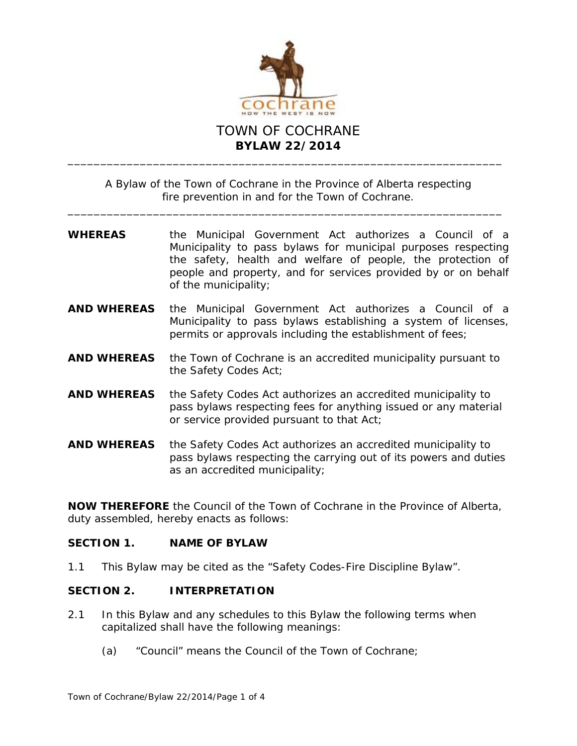

A Bylaw of the Town of Cochrane in the Province of Alberta respecting fire prevention in and for the Town of Cochrane.

\_\_\_\_\_\_\_\_\_\_\_\_\_\_\_\_\_\_\_\_\_\_\_\_\_\_\_\_\_\_\_\_\_\_\_\_\_\_\_\_\_\_\_\_\_\_\_\_\_\_\_\_\_\_\_\_\_\_\_\_\_\_\_\_\_\_

- **WHEREAS** the *Municipal Government Act* authorizes a Council of a Municipality to pass bylaws for municipal purposes respecting the safety, health and welfare of people, the protection of people and property, and for services provided by or on behalf of the municipality;
- **AND WHEREAS** the *Municipal Government Act* authorizes a Council of a Municipality to pass bylaws establishing a system of licenses, permits or approvals including the establishment of fees;
- **AND WHEREAS** the Town of Cochrane is an accredited municipality pursuant to the *Safety Codes Act*;
- **AND WHEREAS** the *Safety Codes Act* authorizes an accredited municipality to pass bylaws respecting fees for anything issued or any material or service provided pursuant to that *Act*;
- **AND WHEREAS** the *Safety Codes Act* authorizes an accredited municipality to pass bylaws respecting the carrying out of its powers and duties as an accredited municipality;

**NOW THEREFORE** the Council of the Town of Cochrane in the Province of Alberta, duty assembled, hereby enacts as follows:

### **SECTION 1. NAME OF BYLAW**

1.1 This Bylaw may be cited as the "Safety Codes-Fire Discipline Bylaw".

### **SECTION 2. INTERPRETATION**

- 2.1 In this Bylaw and any schedules to this Bylaw the following terms when capitalized shall have the following meanings:
	- (a) "Council" means the Council of the Town of Cochrane;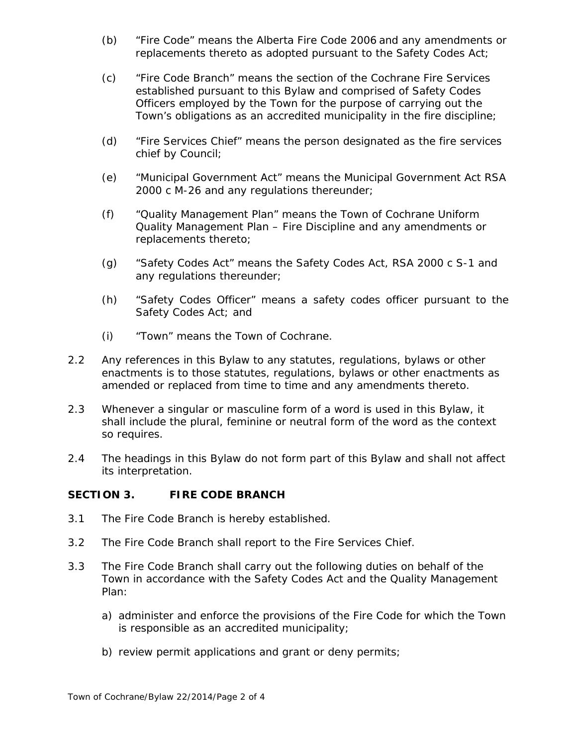- (b) "Fire Code" means the Alberta Fire Code 2006 and any amendments or replacements thereto as adopted pursuant to the *Safety Codes Act*;
- (c) "Fire Code Branch" means the section of the Cochrane Fire Services established pursuant to this Bylaw and comprised of Safety Codes Officers employed by the Town for the purpose of carrying out the Town's obligations as an accredited municipality in the fire discipline;
- (d) "Fire Services Chief" means the person designated as the fire services chief by Council;
- (e) "*Municipal Government Act*" means the *Municipal Government Act* RSA 2000 c M-26 and any regulations thereunder;
- (f) "Quality Management Plan" means the Town of Cochrane Uniform Quality Management Plan – Fire Discipline and any amendments or replacements thereto;
- (g) "*Safety Codes Act*" means the *Safety Codes Act*, RSA 2000 c S-1 and any regulations thereunder;
- (h) "Safety Codes Officer" means a safety codes officer pursuant to the *Safety Codes Act*; and
- (i) "Town" means the Town of Cochrane.
- 2.2 Any references in this Bylaw to any statutes, regulations, bylaws or other enactments is to those statutes, regulations, bylaws or other enactments as amended or replaced from time to time and any amendments thereto.
- 2.3 Whenever a singular or masculine form of a word is used in this Bylaw, it shall include the plural, feminine or neutral form of the word as the context so requires.
- 2.4 The headings in this Bylaw do not form part of this Bylaw and shall not affect its interpretation.

## **SECTION 3. FIRE CODE BRANCH**

- 3.1 The Fire Code Branch is hereby established.
- 3.2 The Fire Code Branch shall report to the Fire Services Chief.
- 3.3 The Fire Code Branch shall carry out the following duties on behalf of the Town in accordance with the *Safety Codes Act* and the Quality Management Plan:
	- a) administer and enforce the provisions of the Fire Code for which the Town is responsible as an accredited municipality;
	- b) review permit applications and grant or deny permits;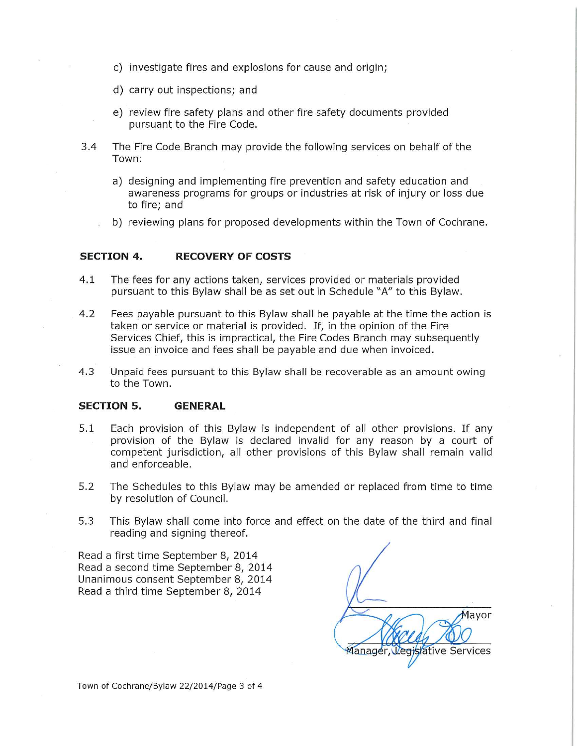- c) investigate fires and explosions for cause and origin;
- d) carry out inspections; and
- e) review fire safety plans and other fire safety documents provided pursuant to the Fire Code.
- $3.4$ The Fire Code Branch may provide the following services on behalf of the Town:
	- a) designing and implementing fire prevention and safety education and awareness programs for groups or industries at risk of injury or loss due to fire; and
	- b) reviewing plans for proposed developments within the Town of Cochrane.

#### **SECTION 4. RECOVERY OF COSTS**

- $4.1$ The fees for any actions taken, services provided or materials provided pursuant to this Bylaw shall be as set out in Schedule "A" to this Bylaw.
- $4.2$ Fees payable pursuant to this Bylaw shall be payable at the time the action is taken or service or material is provided. If, in the opinion of the Fire Services Chief, this is impractical, the Fire Codes Branch may subsequently issue an invoice and fees shall be payable and due when invoiced.
- $4.3$ Unpaid fees pursuant to this Bylaw shall be recoverable as an amount owing to the Town.

#### **SECTION 5. GENERAL**

- Each provision of this Bylaw is independent of all other provisions. If any  $5.1$ provision of the Bylaw is declared invalid for any reason by a court of competent jurisdiction, all other provisions of this Bylaw shall remain valid and enforceable.
- 5.2 The Schedules to this Bylaw may be amended or replaced from time to time by resolution of Council.
- $5,3$ This Bylaw shall come into force and effect on the date of the third and final reading and signing thereof.

Read a first time September 8, 2014 Read a second time September 8, 2014 Unanimous consent September 8, 2014 Read a third time September 8, 2014

Mayor Manager gislative Services

Town of Cochrane/Bylaw 22/2014/Page 3 of 4